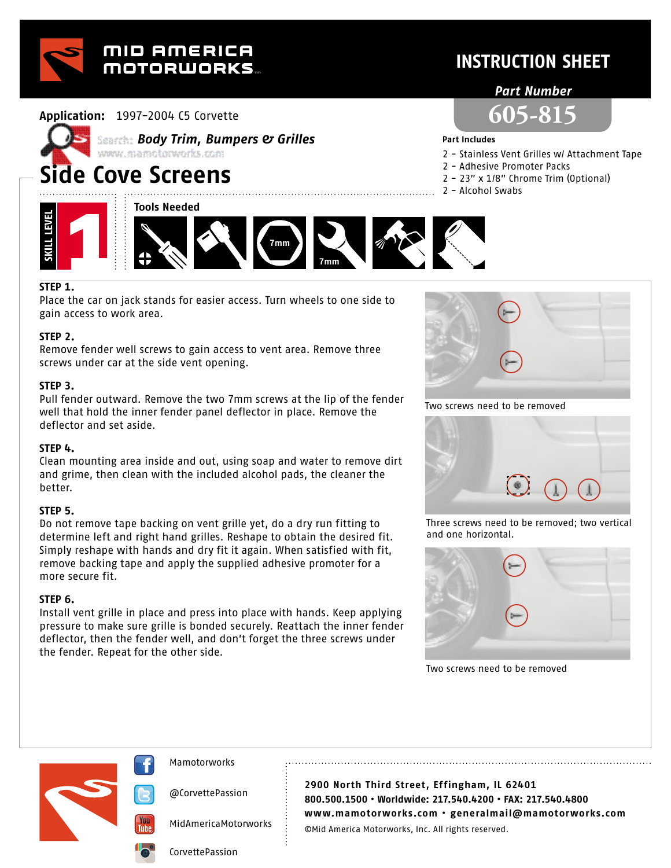

### **Application:** 1997-2004 C5 Corvette



# *Body Trim, Bumpers & Grilles*

## **Side Cove Screens**





#### **Part Includes**

2 - Stainless Vent Grilles w/ Attachment Tape

**INSTRUCTION SHEET**

*Part Number*

**605-815**

- 2 Adhesive Promoter Packs
- 2 23" x 1/8" Chrome Trim (Optional)
- 2 Alcohol Swabs



#### **STEP 1.**

Place the car on jack stands for easier access. Turn wheels to one side to gain access to work area.

#### **STEP 2.**

Remove fender well screws to gain access to vent area. Remove three screws under car at the side vent opening.

#### **STEP 3.**

Pull fender outward. Remove the two 7mm screws at the lip of the fender well that hold the inner fender panel deflector in place. Remove the deflector and set aside.

#### **STEP 4.**

Clean mounting area inside and out, using soap and water to remove dirt and grime, then clean with the included alcohol pads, the cleaner the better.

#### **STEP 5.**

Do not remove tape backing on vent grille yet, do a dry run fitting to determine left and right hand grilles. Reshape to obtain the desired fit. Simply reshape with hands and dry fit it again. When satisfied with fit, remove backing tape and apply the supplied adhesive promoter for a more secure fit.

#### **STEP 6.**

Install vent grille in place and press into place with hands. Keep applying pressure to make sure grille is bonded securely. Reattach the inner fender deflector, then the fender well, and don't forget the three screws under the fender. Repeat for the other side.



Two screws need to be removed



Three screws need to be removed; two vertical and one horizontal.



Two screws need to be removed





@CorvettePassion

MidAmericaMotorworks

**2900 North Third Street, Effingham, IL 62401 800.500.1500 • Worldwide: 217.540.4200 • FAX: 217.540.4800 www.mamotorworks.com • generalmail@mamotorworks.com** ©Mid America Motorworks, Inc. All rights reserved.

CorvettePassion